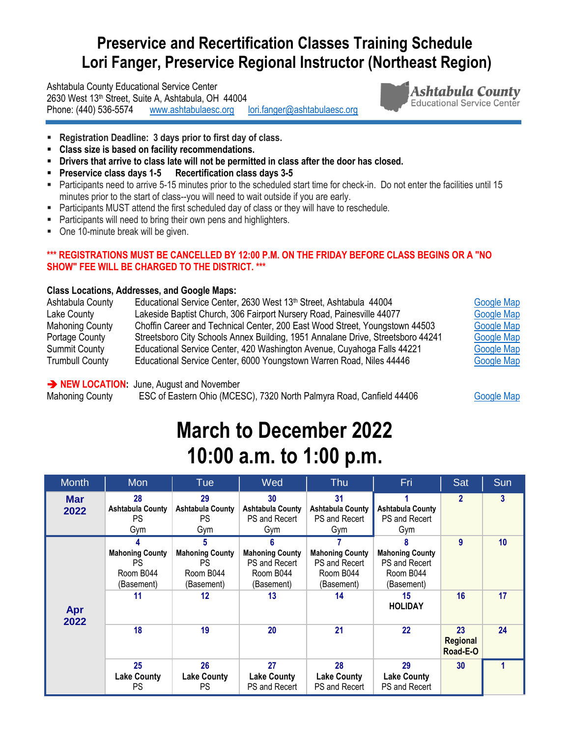### **Preservice and Recertification Classes Training Schedule Lori Fanger, Preservice Regional Instructor (Northeast Region)**

Ashtabula County Educational Service Center 2630 West 13th Street, Suite A, Ashtabula, OH 44004 Phone: (440) 536-5574 [www.ashtabulaesc.org](http://www.ashtabulaesc.org/) [lori.fanger@ashtabulaesc.org](mailto:lori.fanger@ashtabulaesc.org) 



- **Registration Deadline: 3 days prior to first day of class.**
- **Class size is based on facility recommendations.**
- **Drivers that arrive to class late will not be permitted in class after the door has closed.**
- **Preservice class days 1-5 Recertification class days 3-5**
- Participants need to arrive 5-15 minutes prior to the scheduled start time for check-in. Do not enter the facilities until 15 minutes prior to the start of class--you will need to wait outside if you are early.
- **Participants MUST attend the first scheduled day of class or they will have to reschedule.**
- Participants will need to bring their own pens and highlighters.
- One 10-minute break will be given.

#### **\*\*\* REGISTRATIONS MUST BE CANCELLED BY 12:00 P.M. ON THE FRIDAY BEFORE CLASS BEGINS OR A "NO SHOW" FEE WILL BE CHARGED TO THE DISTRICT. \*\*\***

#### **Class Locations, Addresses, and Google Maps:**

| Ashtabula County       | Educational Service Center, 2630 West 13th Street, Ashtabula 44004              | <b>Google Map</b> |
|------------------------|---------------------------------------------------------------------------------|-------------------|
| Lake County            | Lakeside Baptist Church, 306 Fairport Nursery Road, Painesville 44077           | <b>Google Map</b> |
| <b>Mahoning County</b> | Choffin Career and Technical Center, 200 East Wood Street, Youngstown 44503     | <b>Google Map</b> |
| Portage County         | Streetsboro City Schools Annex Building, 1951 Annalane Drive, Streetsboro 44241 | <b>Google Map</b> |
| <b>Summit County</b>   | Educational Service Center, 420 Washington Avenue, Cuyahoga Falls 44221         | <b>Google Map</b> |
| <b>Trumbull County</b> | Educational Service Center, 6000 Youngstown Warren Road, Niles 44446            | <b>Google Map</b> |

#### **NEW LOCATION:** June, August and November

Mahoning County ESC of Eastern Ohio (MCESC), 7320 North Palmyra Road, Canfield 44406 [Google Map](https://www.google.com/maps/dir/Educational+Service+Center+of+Eastern+Ohio+(ESC+of+Eastern+Ohio),+7320+N+Palmyra+Rd,+Canfield,+OH+44406/@41.0340709,-80.8215664,13z/data=!3m1!4b1!4m8!4m7!1m0!1m5!1m1!1s0x8833fd9fe7d5cb85:0xa22a860cdcbcebc0!2m2!1d-80.786547!2d41.0340115)

## **March to December 2022 10:00 a.m. to 1:00 p.m.**

| <b>Month</b>       | Mon                                                                  | <b>Tue</b>                                                                | Wed                                                                      | <b>Thu</b>                                                               | Fri                                                                                             | Sat                        | Sun      |
|--------------------|----------------------------------------------------------------------|---------------------------------------------------------------------------|--------------------------------------------------------------------------|--------------------------------------------------------------------------|-------------------------------------------------------------------------------------------------|----------------------------|----------|
| <b>Mar</b><br>2022 | 28<br><b>Ashtabula County</b><br>PS<br>Gym                           | 29<br><b>Ashtabula County</b><br>PS.<br>Gym                               | 30<br><b>Ashtabula County</b><br>PS and Recert<br>Gym                    | 31<br><b>Ashtabula County</b><br>PS and Recert<br>Gym                    | Ashtabula County<br>PS and Recert<br>Gym                                                        | $\overline{2}$             | 3        |
| Apr<br>2022        | <b>Mahoning County</b><br><b>PS</b><br>Room B044<br>(Basement)<br>11 | 5<br><b>Mahoning County</b><br><b>PS</b><br>Room B044<br>(Basement)<br>12 | <b>Mahoning County</b><br>PS and Recert<br>Room B044<br>(Basement)<br>13 | <b>Mahoning County</b><br>PS and Recert<br>Room B044<br>(Basement)<br>14 | 8<br><b>Mahoning County</b><br>PS and Recert<br>Room B044<br>(Basement)<br>15<br><b>HOLIDAY</b> | 9<br>16                    | 10<br>17 |
|                    | 18                                                                   | 19                                                                        | 20                                                                       | 21                                                                       | 22                                                                                              | 23<br>Regional<br>Road-E-O | 24       |
|                    | 25<br><b>Lake County</b><br><b>PS</b>                                | 26<br><b>Lake County</b><br><b>PS</b>                                     | 27<br><b>Lake County</b><br>PS and Recert                                | 28<br><b>Lake County</b><br>PS and Recert                                | 29<br><b>Lake County</b><br>PS and Recert                                                       | 30                         |          |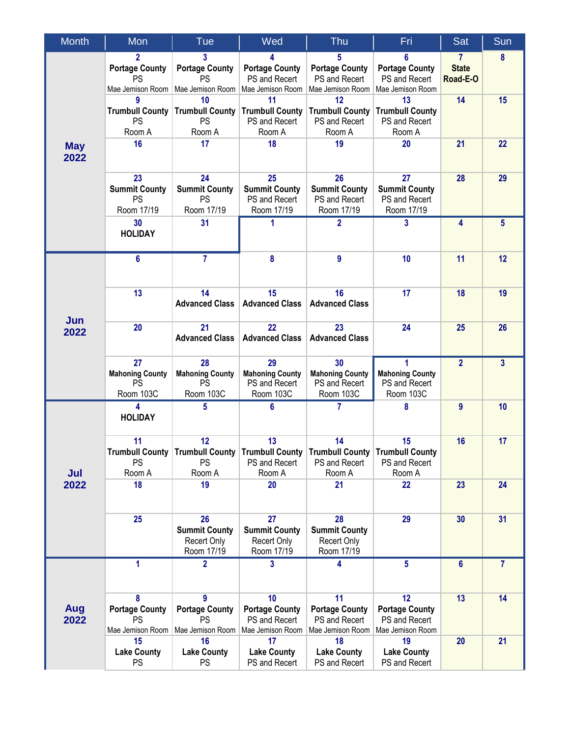| <b>Month</b>       | Mon                                                    | Tue                                                                     | Wed                                                              | Thu                                                              | Fri                                                              | Sat                                      | Sun             |
|--------------------|--------------------------------------------------------|-------------------------------------------------------------------------|------------------------------------------------------------------|------------------------------------------------------------------|------------------------------------------------------------------|------------------------------------------|-----------------|
|                    | $\overline{2}$<br><b>Portage County</b><br>PS          | 3<br><b>Portage County</b><br>PS<br>Mae Jemison Room   Mae Jemison Room | 4<br><b>Portage County</b><br>PS and Recert<br>Mae Jemison Room  | 5<br><b>Portage County</b><br>PS and Recert<br>Mae Jemison Room  | 6<br><b>Portage County</b><br>PS and Recert<br>Mae Jemison Room  | $\mathbf{7}$<br><b>State</b><br>Road-E-O | 8               |
|                    | 9<br><b>PS</b><br>Room A                               | 10<br><b>Trumbull County   Trumbull County</b><br><b>PS</b><br>Room A   | 11<br><b>Trumbull County</b><br>PS and Recert<br>Room A          | 12<br><b>Trumbull County</b><br>PS and Recert<br>Room A          | 13<br><b>Trumbull County</b><br>PS and Recert<br>Room A          | 14                                       | 15              |
| <b>May</b><br>2022 | 16                                                     | 17                                                                      | 18                                                               | 19                                                               | 20                                                               | 21                                       | 22              |
|                    | 23<br><b>Summit County</b><br><b>PS</b><br>Room 17/19  | 24<br><b>Summit County</b><br><b>PS</b><br>Room 17/19                   | 25<br><b>Summit County</b><br>PS and Recert<br>Room 17/19        | 26<br><b>Summit County</b><br>PS and Recert<br>Room 17/19        | 27<br><b>Summit County</b><br>PS and Recert<br>Room 17/19        | 28                                       | 29              |
|                    | 30<br><b>HOLIDAY</b>                                   | 31                                                                      | 1                                                                | $\overline{2}$                                                   | 3                                                                | 4                                        | $5\phantom{.0}$ |
| Jun<br>2022        | $6\phantom{1}$                                         | $\overline{7}$                                                          | 8                                                                | 9                                                                | 10                                                               | 11                                       | 12              |
|                    | 13                                                     | 14<br><b>Advanced Class</b>                                             | 15<br><b>Advanced Class</b>                                      | 16<br><b>Advanced Class</b>                                      | 17                                                               | 18                                       | 19              |
|                    | 20                                                     | 21<br><b>Advanced Class</b>                                             | $\overline{22}$<br><b>Advanced Class</b>                         | 23<br><b>Advanced Class</b>                                      | 24                                                               | 25                                       | 26              |
|                    | 27<br><b>Mahoning County</b><br><b>PS</b><br>Room 103C | 28<br><b>Mahoning County</b><br><b>PS</b><br>Room 103C                  | 29<br><b>Mahoning County</b><br>PS and Recert<br>Room 103C       | 30<br><b>Mahoning County</b><br>PS and Recert<br>Room 103C       | <b>Mahoning County</b><br>PS and Recert<br>Room 103C             | $\overline{2}$                           | $\overline{3}$  |
| Jul<br>2022        | 4<br><b>HOLIDAY</b>                                    | 5                                                                       | 6                                                                | 7                                                                | 8                                                                | 9                                        | 10              |
|                    | 11<br><b>PS</b><br>Room A                              | 12<br>Trumbull County Trumbull County<br><b>PS</b><br>Room A            | 13<br><b>Trumbull County</b><br>PS and Recert<br>Room A          | 14<br><b>Trumbull County</b><br>PS and Recert<br>Room A          | 15<br><b>Trumbull County</b><br>PS and Recert<br>Room A          | 16                                       | 17              |
|                    | 18                                                     | 19                                                                      | 20                                                               | 21                                                               | 22                                                               | 23                                       | 24              |
|                    | 25                                                     | 26<br><b>Summit County</b><br><b>Recert Only</b><br>Room 17/19          | 27<br><b>Summit County</b><br><b>Recert Only</b><br>Room 17/19   | 28<br><b>Summit County</b><br>Recert Only<br>Room 17/19          | 29                                                               | 30                                       | 31              |
|                    | 1                                                      | $\overline{2}$                                                          | 3                                                                | 4                                                                | $5\phantom{.0}$                                                  | 6                                        | $\overline{7}$  |
| Aug<br>2022        | 8<br><b>Portage County</b><br>PS<br>Mae Jemison Room   | 9<br><b>Portage County</b><br>PS<br>Mae Jemison Room                    | 10<br><b>Portage County</b><br>PS and Recert<br>Mae Jemison Room | 11<br><b>Portage County</b><br>PS and Recert<br>Mae Jemison Room | 12<br><b>Portage County</b><br>PS and Recert<br>Mae Jemison Room | 13                                       | 14              |
|                    | 15<br><b>Lake County</b><br><b>PS</b>                  | 16<br><b>Lake County</b><br><b>PS</b>                                   | 17<br><b>Lake County</b><br>PS and Recert                        | 18<br><b>Lake County</b><br>PS and Recert                        | 19<br><b>Lake County</b><br>PS and Recert                        | 20                                       | 21              |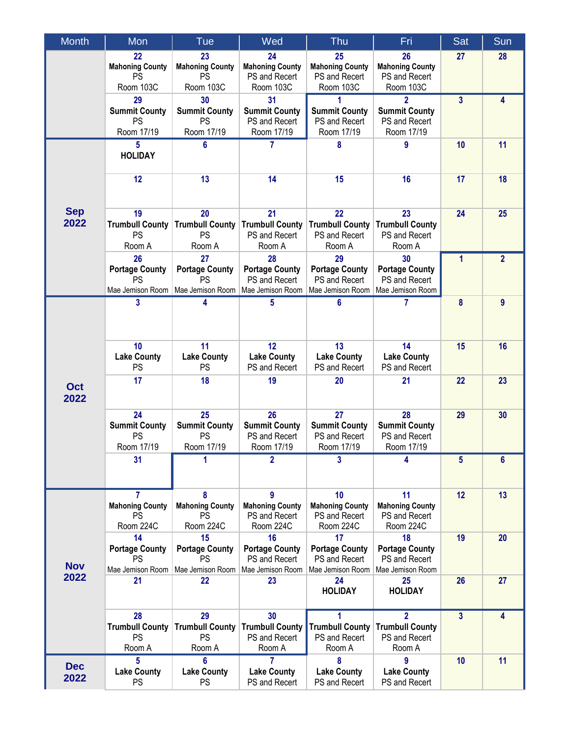| <b>Month</b>       | Mon                                                          | Tue                                                   | Wed                                                              | <b>Thu</b>                                                       | Fri                                                                   | Sat              | Sun            |
|--------------------|--------------------------------------------------------------|-------------------------------------------------------|------------------------------------------------------------------|------------------------------------------------------------------|-----------------------------------------------------------------------|------------------|----------------|
|                    | 22<br><b>Mahoning County</b><br><b>PS</b><br>Room 103C       | 23<br><b>Mahoning County</b><br>PS<br>Room 103C       | 24<br><b>Mahoning County</b><br>PS and Recert<br>Room 103C       | 25<br><b>Mahoning County</b><br>PS and Recert<br>Room 103C       | 26<br><b>Mahoning County</b><br>PS and Recert<br>Room 103C            | 27               | 28             |
|                    | 29<br><b>Summit County</b><br>PS<br>Room 17/19               | 30<br><b>Summit County</b><br>PS<br>Room 17/19        | 31<br><b>Summit County</b><br>PS and Recert<br>Room 17/19        | <b>Summit County</b><br>PS and Recert<br>Room 17/19              | $\overline{2}$<br><b>Summit County</b><br>PS and Recert<br>Room 17/19 | $\overline{3}$   | 4              |
|                    | 5<br><b>HOLIDAY</b>                                          | 6                                                     | 7                                                                | 8                                                                | 9                                                                     | 10               | 11             |
|                    | 12                                                           | 13                                                    | 14                                                               | 15                                                               | 16                                                                    | 17               | 18             |
| <b>Sep</b><br>2022 | 19<br><b>Trumbull County</b><br>PS<br>Room A                 | 20<br><b>Trumbull County</b><br>PS<br>Room A          | 21<br><b>Trumbull County</b><br>PS and Recert<br>Room A          | 22<br><b>Trumbull County</b><br>PS and Recert<br>Room A          | 23<br><b>Trumbull County</b><br>PS and Recert<br>Room A               | 24               | 25             |
|                    | 26<br><b>Portage County</b><br>PS<br>Mae Jemison Room        | 27<br><b>Portage County</b><br>PS<br>Mae Jemison Room | 28<br><b>Portage County</b><br>PS and Recert<br>Mae Jemison Room | 29<br><b>Portage County</b><br>PS and Recert<br>Mae Jemison Room | 30<br><b>Portage County</b><br>PS and Recert<br>Mae Jemison Room      | 1                | $\overline{2}$ |
| <b>Oct</b><br>2022 | 3                                                            |                                                       | 5                                                                | 6                                                                | 7                                                                     | $\boldsymbol{8}$ | 9              |
|                    | 10<br><b>Lake County</b><br>PS                               | 11<br><b>Lake County</b><br>PS                        | 12<br><b>Lake County</b><br>PS and Recert                        | 13<br><b>Lake County</b><br>PS and Recert                        | 14<br><b>Lake County</b><br>PS and Recert                             | 15               | 16             |
|                    | 17                                                           | 18                                                    | 19                                                               | 20                                                               | 21                                                                    | 22               | 23             |
|                    | 24<br><b>Summit County</b><br>PS<br>Room 17/19               | 25<br><b>Summit County</b><br>PS<br>Room 17/19        | 26<br><b>Summit County</b><br>PS and Recert<br>Room 17/19        | 27<br><b>Summit County</b><br>PS and Recert<br>Room 17/19        | 28<br><b>Summit County</b><br>PS and Recert<br>Room 17/19             | 29               | 30             |
|                    | 31                                                           | 1                                                     | $\mathbf{2}$                                                     | 3                                                                | 4                                                                     | 5                | 6              |
| <b>Nov</b><br>2022 | 7<br><b>Mahoning County</b><br>PS<br>Room 224C               | 8<br><b>Mahoning County</b><br>PS<br>Room 224C        | g<br><b>Mahoning County</b><br>PS and Recert<br>Room 224C        | 10<br><b>Mahoning County</b><br>PS and Recert<br>Room 224C       | 11<br><b>Mahoning County</b><br>PS and Recert<br>Room 224C            | 12               | 13             |
|                    | 14<br><b>Portage County</b><br><b>PS</b><br>Mae Jemison Room | 15<br><b>Portage County</b><br>PS<br>Mae Jemison Room | 16<br><b>Portage County</b><br>PS and Recert<br>Mae Jemison Room | 17<br><b>Portage County</b><br>PS and Recert<br>Mae Jemison Room | 18<br><b>Portage County</b><br>PS and Recert<br>Mae Jemison Room      | 19               | 20             |
|                    | 21                                                           | 22                                                    | 23                                                               | 24<br><b>HOLIDAY</b>                                             | 25<br><b>HOLIDAY</b>                                                  | 26               | 27             |
|                    | 28<br><b>Trumbull County</b><br>PS<br>Room A                 | 29<br><b>Trumbull County</b><br>PS<br>Room A          | 30<br><b>Trumbull County</b><br>PS and Recert<br>Room A          | <b>Trumbull County</b><br>PS and Recert<br>Room A                | $\overline{2}$<br><b>Trumbull County</b><br>PS and Recert<br>Room A   | $\overline{3}$   | 4              |
| <b>Dec</b><br>2022 | 5<br><b>Lake County</b><br><b>PS</b>                         | 6<br><b>Lake County</b><br><b>PS</b>                  | 7<br><b>Lake County</b><br>PS and Recert                         | 8<br><b>Lake County</b><br>PS and Recert                         | 9<br><b>Lake County</b><br>PS and Recert                              | 10               | 11             |